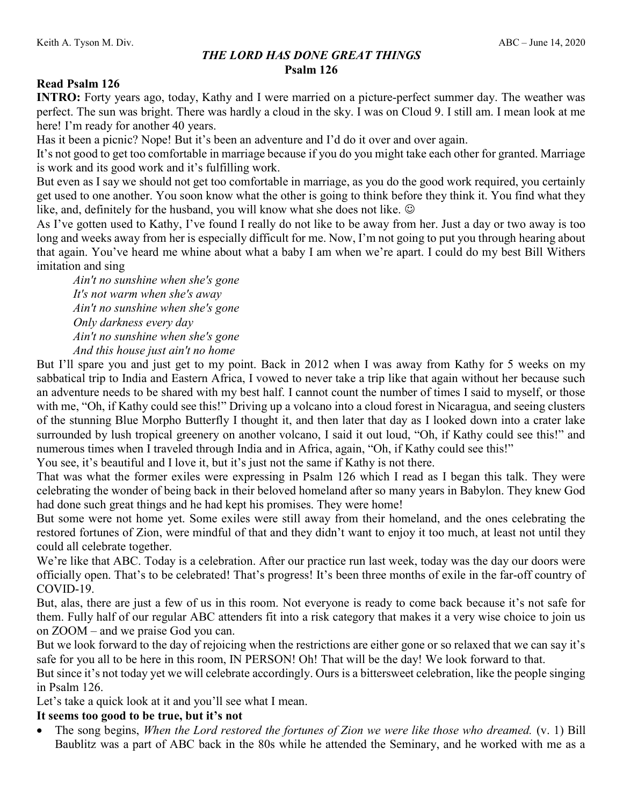#### THE LORD HAS DONE GREAT THINGS Psalm 126

### Read Psalm 126

INTRO: Forty years ago, today, Kathy and I were married on a picture-perfect summer day. The weather was perfect. The sun was bright. There was hardly a cloud in the sky. I was on Cloud 9. I still am. I mean look at me here! I'm ready for another 40 years.

Has it been a picnic? Nope! But it's been an adventure and I'd do it over and over again.

It's not good to get too comfortable in marriage because if you do you might take each other for granted. Marriage is work and its good work and it's fulfilling work.

But even as I say we should not get too comfortable in marriage, as you do the good work required, you certainly get used to one another. You soon know what the other is going to think before they think it. You find what they like, and, definitely for the husband, you will know what she does not like.  $\odot$ 

As I've gotten used to Kathy, I've found I really do not like to be away from her. Just a day or two away is too long and weeks away from her is especially difficult for me. Now, I'm not going to put you through hearing about that again. You've heard me whine about what a baby I am when we're apart. I could do my best Bill Withers imitation and sing

Ain't no sunshine when she's gone It's not warm when she's away Ain't no sunshine when she's gone Only darkness every day Ain't no sunshine when she's gone And this house just ain't no home

But I'll spare you and just get to my point. Back in 2012 when I was away from Kathy for 5 weeks on my sabbatical trip to India and Eastern Africa, I vowed to never take a trip like that again without her because such an adventure needs to be shared with my best half. I cannot count the number of times I said to myself, or those with me, "Oh, if Kathy could see this!" Driving up a volcano into a cloud forest in Nicaragua, and seeing clusters of the stunning Blue Morpho Butterfly I thought it, and then later that day as I looked down into a crater lake surrounded by lush tropical greenery on another volcano, I said it out loud, "Oh, if Kathy could see this!" and numerous times when I traveled through India and in Africa, again, "Oh, if Kathy could see this!"

You see, it's beautiful and I love it, but it's just not the same if Kathy is not there.

That was what the former exiles were expressing in Psalm 126 which I read as I began this talk. They were celebrating the wonder of being back in their beloved homeland after so many years in Babylon. They knew God had done such great things and he had kept his promises. They were home!

But some were not home yet. Some exiles were still away from their homeland, and the ones celebrating the restored fortunes of Zion, were mindful of that and they didn't want to enjoy it too much, at least not until they could all celebrate together.

We're like that ABC. Today is a celebration. After our practice run last week, today was the day our doors were officially open. That's to be celebrated! That's progress! It's been three months of exile in the far-off country of COVID-19.

But, alas, there are just a few of us in this room. Not everyone is ready to come back because it's not safe for them. Fully half of our regular ABC attenders fit into a risk category that makes it a very wise choice to join us on ZOOM – and we praise God you can.

But we look forward to the day of rejoicing when the restrictions are either gone or so relaxed that we can say it's safe for you all to be here in this room, IN PERSON! Oh! That will be the day! We look forward to that.

But since it's not today yet we will celebrate accordingly. Ours is a bittersweet celebration, like the people singing in Psalm 126.

Let's take a quick look at it and you'll see what I mean.

#### It seems too good to be true, but it's not

• The song begins, When the Lord restored the fortunes of Zion we were like those who dreamed. (v. 1) Bill Baublitz was a part of ABC back in the 80s while he attended the Seminary, and he worked with me as a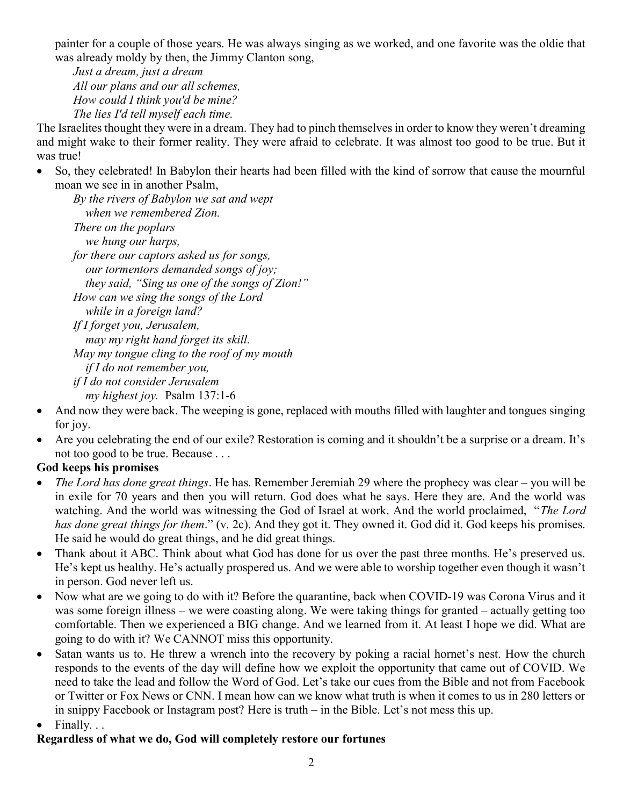painter for a couple of those years. He was always singing as we worked, and one favorite was the oldie that was already moldy by then, the Jimmy Clanton song,

Just a dream, just a dream All our plans and our all schemes, How could I think you'd be mine? The lies I'd tell myself each time.

The Israelites thought they were in a dream. They had to pinch themselves in order to know they weren't dreaming and might wake to their former reality. They were afraid to celebrate. It was almost too good to be true. But it was true!

 So, they celebrated! In Babylon their hearts had been filled with the kind of sorrow that cause the mournful moan we see in in another Psalm,

By the rivers of Babylon we sat and wept when we remembered Zion. There on the poplars we hung our harps, for there our captors asked us for songs, our tormentors demanded songs of joy; they said, "Sing us one of the songs of Zion!" How can we sing the songs of the Lord while in a foreign land? If I forget you, Jerusalem, may my right hand forget its skill. May my tongue cling to the roof of my mouth if I do not remember you, if I do not consider Jerusalem my highest joy. Psalm 137:1-6

- And now they were back. The weeping is gone, replaced with mouths filled with laughter and tongues singing for joy.
- Are you celebrating the end of our exile? Restoration is coming and it shouldn't be a surprise or a dream. It's not too good to be true. Because . . .

## God keeps his promises

- The Lord has done great things. He has. Remember Jeremiah 29 where the prophecy was clear you will be in exile for 70 years and then you will return. God does what he says. Here they are. And the world was watching. And the world was witnessing the God of Israel at work. And the world proclaimed, "The Lord has done great things for them." (v. 2c). And they got it. They owned it. God did it. God keeps his promises. He said he would do great things, and he did great things.
- Thank about it ABC. Think about what God has done for us over the past three months. He's preserved us. He's kept us healthy. He's actually prospered us. And we were able to worship together even though it wasn't in person. God never left us.
- Now what are we going to do with it? Before the quarantine, back when COVID-19 was Corona Virus and it was some foreign illness – we were coasting along. We were taking things for granted – actually getting too comfortable. Then we experienced a BIG change. And we learned from it. At least I hope we did. What are going to do with it? We CANNOT miss this opportunity.
- Satan wants us to. He threw a wrench into the recovery by poking a racial hornet's nest. How the church responds to the events of the day will define how we exploit the opportunity that came out of COVID. We need to take the lead and follow the Word of God. Let's take our cues from the Bible and not from Facebook or Twitter or Fox News or CNN. I mean how can we know what truth is when it comes to us in 280 letters or in snippy Facebook or Instagram post? Here is truth – in the Bible. Let's not mess this up.
- $\bullet$  Finally...

# Regardless of what we do, God will completely restore our fortunes